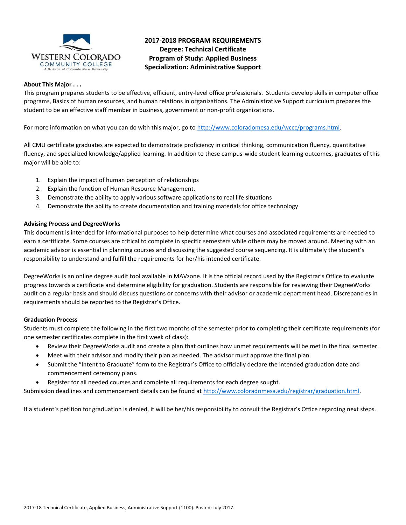

# **2017-2018 PROGRAM REQUIREMENTS Degree: Technical Certificate Program of Study: Applied Business Specialization: Administrative Support**

#### **About This Major . . .**

This program prepares students to be effective, efficient, entry-level office professionals. Students develop skills in computer office programs, Basics of human resources, and human relations in organizations. The Administrative Support curriculum prepares the student to be an effective staff member in business, government or non-profit organizations.

For more information on what you can do with this major, go to [http://www.coloradomesa.edu/wccc/programs.html.](http://www.coloradomesa.edu/wccc/programs.html)

All CMU certificate graduates are expected to demonstrate proficiency in critical thinking, communication fluency, quantitative fluency, and specialized knowledge/applied learning. In addition to these campus-wide student learning outcomes, graduates of this major will be able to:

- 1. Explain the impact of human perception of relationships
- 2. Explain the function of Human Resource Management.
- 3. Demonstrate the ability to apply various software applications to real life situations
- 4. Demonstrate the ability to create documentation and training materials for office technology

#### **Advising Process and DegreeWorks**

This document is intended for informational purposes to help determine what courses and associated requirements are needed to earn a certificate. Some courses are critical to complete in specific semesters while others may be moved around. Meeting with an academic advisor is essential in planning courses and discussing the suggested course sequencing. It is ultimately the student's responsibility to understand and fulfill the requirements for her/his intended certificate.

DegreeWorks is an online degree audit tool available in MAVzone. It is the official record used by the Registrar's Office to evaluate progress towards a certificate and determine eligibility for graduation. Students are responsible for reviewing their DegreeWorks audit on a regular basis and should discuss questions or concerns with their advisor or academic department head. Discrepancies in requirements should be reported to the Registrar's Office.

#### **Graduation Process**

Students must complete the following in the first two months of the semester prior to completing their certificate requirements (for one semester certificates complete in the first week of class):

- Review their DegreeWorks audit and create a plan that outlines how unmet requirements will be met in the final semester.
- Meet with their advisor and modify their plan as needed. The advisor must approve the final plan.
- Submit the "Intent to Graduate" form to the Registrar's Office to officially declare the intended graduation date and commencement ceremony plans.
- Register for all needed courses and complete all requirements for each degree sought.

Submission deadlines and commencement details can be found at [http://www.coloradomesa.edu/registrar/graduation.html.](http://www.coloradomesa.edu/registrar/graduation.html)

If a student's petition for graduation is denied, it will be her/his responsibility to consult the Registrar's Office regarding next steps.